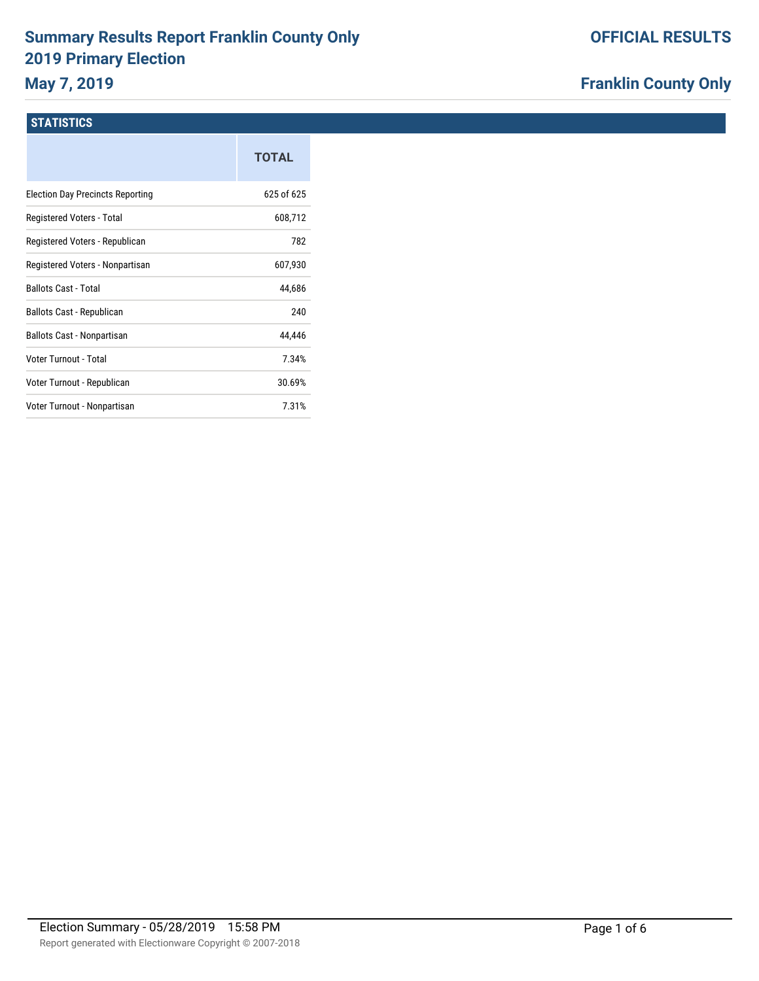# **Summary Results Report Franklin County Only 2019 Primary Election**

## **May 7, 2019**

### **Franklin County Only**

#### **STATISTICS**

|                                         | <b>TOTAL</b> |
|-----------------------------------------|--------------|
| <b>Election Day Precincts Reporting</b> | 625 of 625   |
| Registered Voters - Total               | 608,712      |
| Registered Voters - Republican          | 782          |
| Registered Voters - Nonpartisan         | 607,930      |
| <b>Ballots Cast - Total</b>             | 44,686       |
| Ballots Cast - Republican               | 240          |
| Ballots Cast - Nonpartisan              | 44,446       |
| Voter Turnout - Total                   | 7.34%        |
| Voter Turnout - Republican              | 30.69%       |
| Voter Turnout - Nonpartisan             | 7.31%        |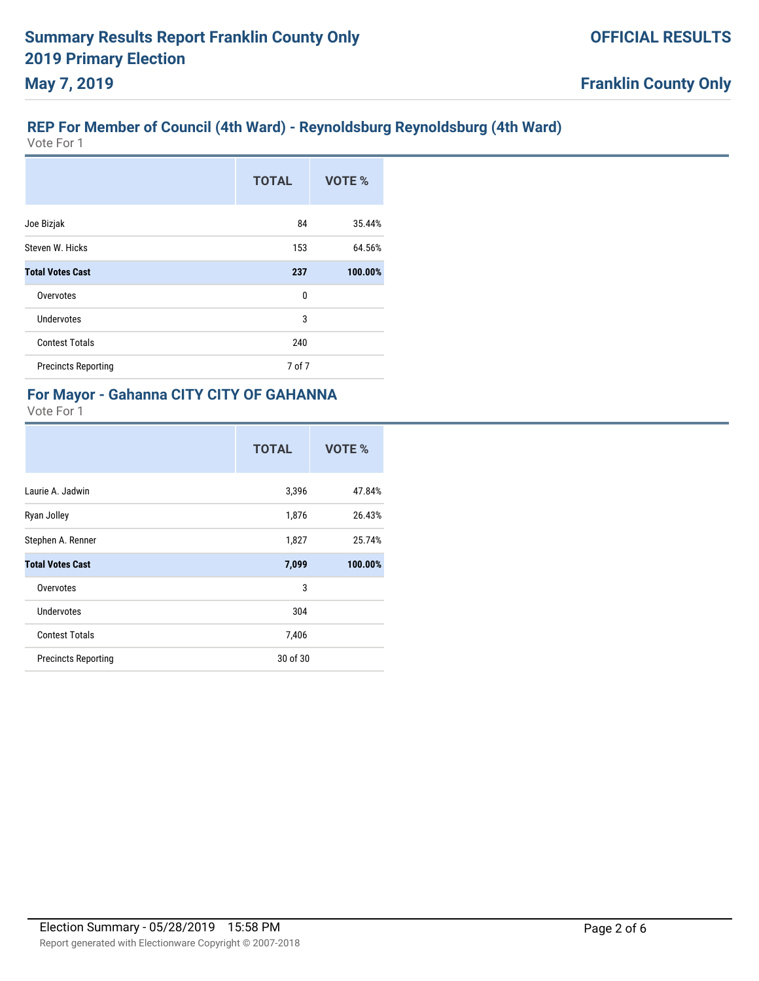#### **REP For Member of Council (4th Ward) - Reynoldsburg Reynoldsburg (4th Ward)**

Vote For 1

|                            | <b>TOTAL</b> | VOTE %  |
|----------------------------|--------------|---------|
| Joe Bizjak                 | 84           | 35.44%  |
| Steven W. Hicks            | 153          | 64.56%  |
| <b>Total Votes Cast</b>    | 237          | 100.00% |
| Overvotes                  | 0            |         |
| Undervotes                 | 3            |         |
| <b>Contest Totals</b>      | 240          |         |
| <b>Precincts Reporting</b> | 7 of 7       |         |

#### **For Mayor - Gahanna CITY CITY OF GAHANNA** Vote For 1

|                            | <b>TOTAL</b> | VOTE %  |
|----------------------------|--------------|---------|
| Laurie A. Jadwin           | 3,396        | 47.84%  |
| Ryan Jolley                | 1,876        | 26.43%  |
| Stephen A. Renner          | 1,827        | 25.74%  |
| <b>Total Votes Cast</b>    | 7,099        | 100.00% |
| Overvotes                  | 3            |         |
| Undervotes                 | 304          |         |
| <b>Contest Totals</b>      | 7,406        |         |
| <b>Precincts Reporting</b> | 30 of 30     |         |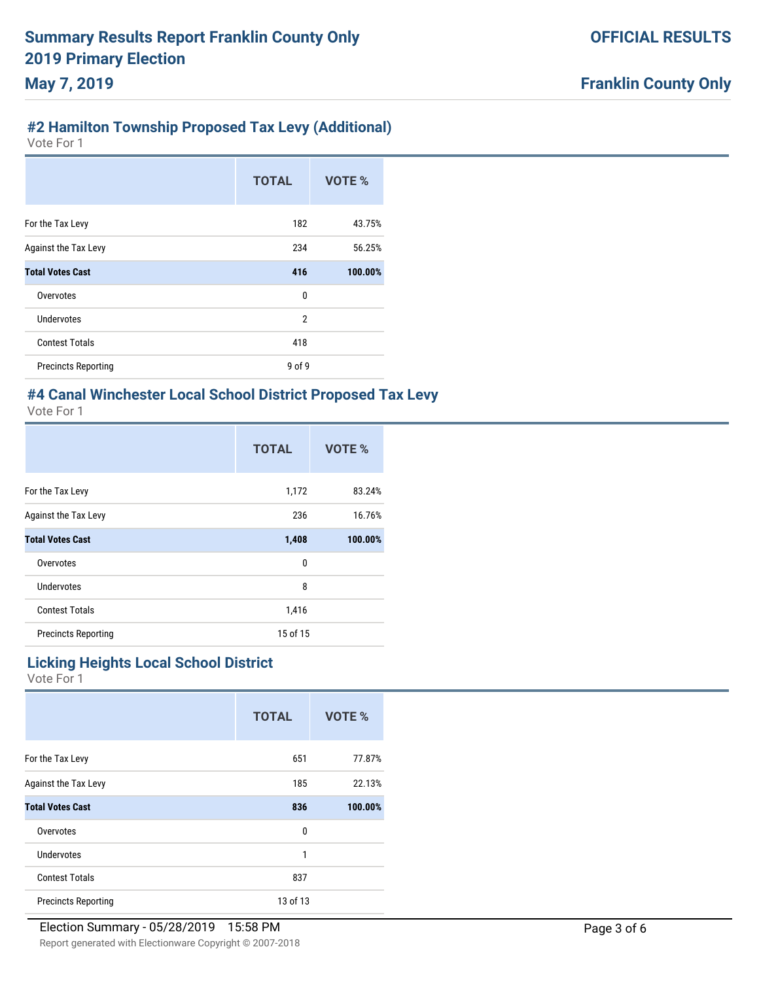### **#2 Hamilton Township Proposed Tax Levy (Additional)**

Vote For 1

|                            | <b>TOTAL</b>   | VOTE %  |
|----------------------------|----------------|---------|
| For the Tax Levy           | 182            | 43.75%  |
| Against the Tax Levy       | 234            | 56.25%  |
| <b>Total Votes Cast</b>    | 416            | 100.00% |
| Overvotes                  | 0              |         |
| Undervotes                 | $\overline{2}$ |         |
| <b>Contest Totals</b>      | 418            |         |
| <b>Precincts Reporting</b> | 9 of 9         |         |

#### **#4 Canal Winchester Local School District Proposed Tax Levy** Vote For 1

|                            | <b>TOTAL</b> | VOTE %  |
|----------------------------|--------------|---------|
| For the Tax Levy           | 1,172        | 83.24%  |
| Against the Tax Levy       | 236          | 16.76%  |
| <b>Total Votes Cast</b>    | 1,408        | 100.00% |
| Overvotes                  | 0            |         |
| Undervotes                 | 8            |         |
| <b>Contest Totals</b>      | 1,416        |         |
| <b>Precincts Reporting</b> | 15 of 15     |         |

#### **Licking Heights Local School District**

|                             | <b>TOTAL</b> | VOTE %  |
|-----------------------------|--------------|---------|
| For the Tax Levy            | 651          | 77.87%  |
| <b>Against the Tax Levy</b> | 185          | 22.13%  |
| <b>Total Votes Cast</b>     | 836          | 100.00% |
| Overvotes                   | 0            |         |
| <b>Undervotes</b>           | 1            |         |
| <b>Contest Totals</b>       | 837          |         |
| <b>Precincts Reporting</b>  | 13 of 13     |         |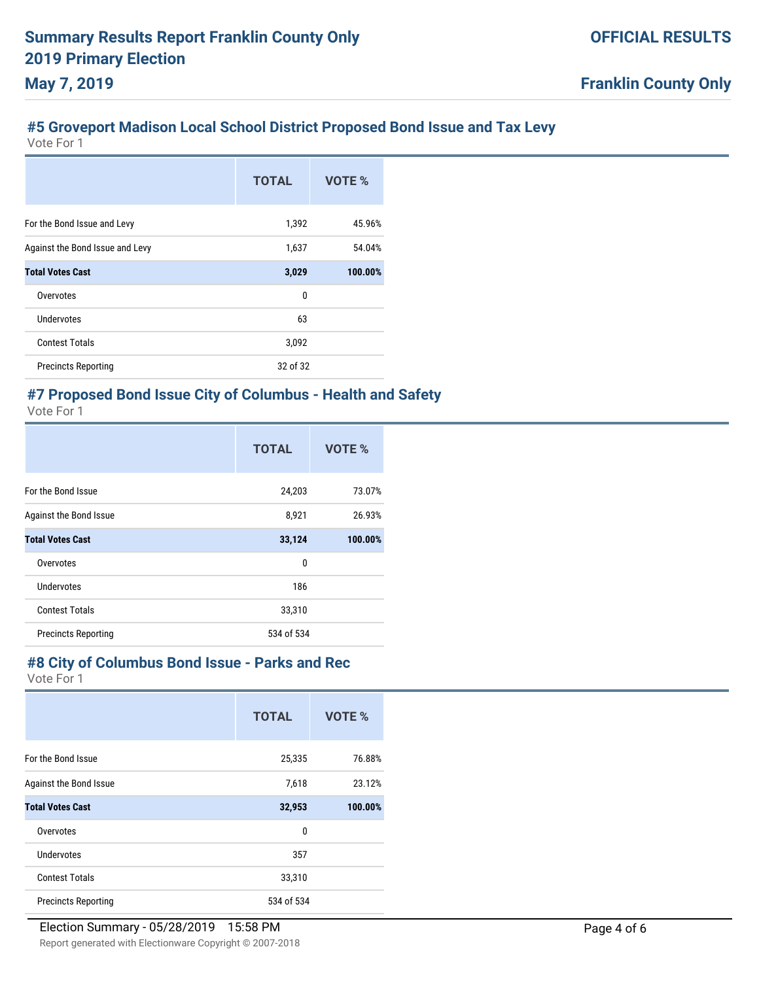## **#5 Groveport Madison Local School District Proposed Bond Issue and Tax Levy**

Vote For 1

|                                 | <b>TOTAL</b> | VOTE %  |
|---------------------------------|--------------|---------|
| For the Bond Issue and Levy     | 1,392        | 45.96%  |
| Against the Bond Issue and Levy | 1,637        | 54.04%  |
| <b>Total Votes Cast</b>         | 3,029        | 100.00% |
| Overvotes                       | 0            |         |
| Undervotes                      | 63           |         |
| <b>Contest Totals</b>           | 3,092        |         |
| <b>Precincts Reporting</b>      | 32 of 32     |         |

# **#7 Proposed Bond Issue City of Columbus - Health and Safety**

Vote For 1

|                            | <b>TOTAL</b> | VOTE %  |
|----------------------------|--------------|---------|
| For the Bond Issue         | 24,203       | 73.07%  |
| Against the Bond Issue     | 8,921        | 26.93%  |
| <b>Total Votes Cast</b>    | 33,124       | 100.00% |
| Overvotes                  | 0            |         |
| Undervotes                 | 186          |         |
| <b>Contest Totals</b>      | 33,310       |         |
| <b>Precincts Reporting</b> | 534 of 534   |         |

#### **#8 City of Columbus Bond Issue - Parks and Rec**

|                            | <b>TOTAL</b> | <b>VOTE %</b> |
|----------------------------|--------------|---------------|
| For the Bond Issue         | 25,335       | 76.88%        |
| Against the Bond Issue     | 7,618        | 23.12%        |
| <b>Total Votes Cast</b>    | 32,953       | 100.00%       |
| Overvotes                  | 0            |               |
| Undervotes                 | 357          |               |
| <b>Contest Totals</b>      | 33,310       |               |
| <b>Precincts Reporting</b> | 534 of 534   |               |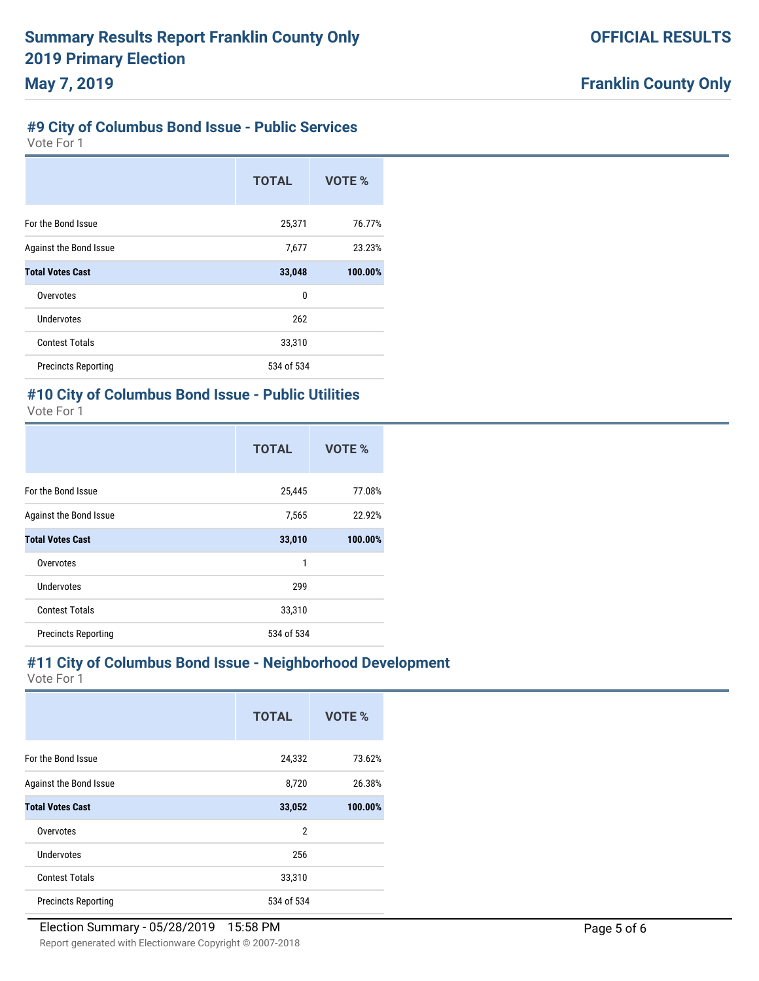### **#9 City of Columbus Bond Issue - Public Services**

Vote For 1

|                            | <b>TOTAL</b> | VOTE %  |
|----------------------------|--------------|---------|
| For the Bond Issue         | 25,371       | 76.77%  |
| Against the Bond Issue     | 7,677        | 23.23%  |
| <b>Total Votes Cast</b>    | 33,048       | 100.00% |
| Overvotes                  | 0            |         |
| Undervotes                 | 262          |         |
| <b>Contest Totals</b>      | 33,310       |         |
| <b>Precincts Reporting</b> | 534 of 534   |         |

# **#10 City of Columbus Bond Issue - Public Utilities**

| Vote For |  |
|----------|--|
|----------|--|

|                            | <b>TOTAL</b> | VOTE %  |
|----------------------------|--------------|---------|
| For the Bond Issue         | 25,445       | 77.08%  |
| Against the Bond Issue     | 7,565        | 22.92%  |
| <b>Total Votes Cast</b>    | 33,010       | 100.00% |
| Overvotes                  | 1            |         |
| Undervotes                 | 299          |         |
| <b>Contest Totals</b>      | 33,310       |         |
| <b>Precincts Reporting</b> | 534 of 534   |         |

#### **#11 City of Columbus Bond Issue - Neighborhood Development**

|                            | <b>TOTAL</b> | VOTE %         |         |  |
|----------------------------|--------------|----------------|---------|--|
| For the Bond Issue         |              | 24,332         | 73.62%  |  |
| Against the Bond Issue     |              | 8,720          | 26.38%  |  |
| <b>Total Votes Cast</b>    |              | 33,052         | 100.00% |  |
| Overvotes                  |              | $\overline{2}$ |         |  |
| Undervotes                 |              | 256            |         |  |
| <b>Contest Totals</b>      |              | 33,310         |         |  |
| <b>Precincts Reporting</b> |              | 534 of 534     |         |  |